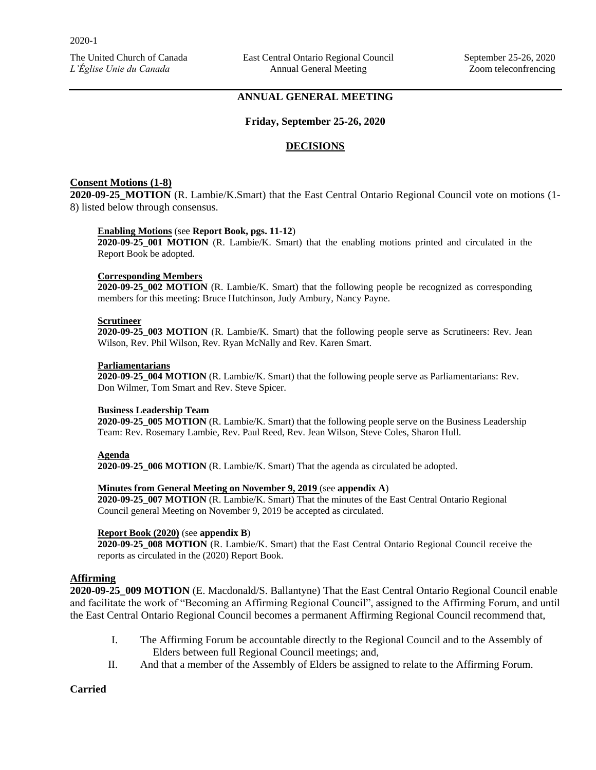## **ANNUAL GENERAL MEETING**

#### **Friday, September 25-26, 2020**

#### **DECISIONS**

### **Consent Motions (1-8)**

**2020-09-25\_MOTION** (R. Lambie/K.Smart) that the East Central Ontario Regional Council vote on motions (1- 8) listed below through consensus.

#### **Enabling Motions** (see **Report Book, pgs. 11-12**)

**2020-09-25\_001 MOTION** (R. Lambie/K. Smart) that the enabling motions printed and circulated in the Report Book be adopted.

#### **Corresponding Members**

**2020-09-25\_002 MOTION** (R. Lambie/K. Smart) that the following people be recognized as corresponding members for this meeting: Bruce Hutchinson, Judy Ambury, Nancy Payne.

#### **Scrutineer**

**2020-09-25\_003 MOTION** (R. Lambie/K. Smart) that the following people serve as Scrutineers: Rev. Jean Wilson, Rev. Phil Wilson, Rev. Ryan McNally and Rev. Karen Smart.

#### **Parliamentarians**

**2020-09-25\_004 MOTION** (R. Lambie/K. Smart) that the following people serve as Parliamentarians: Rev. Don Wilmer, Tom Smart and Rev. Steve Spicer.

#### **Business Leadership Team**

**2020-09-25\_005 MOTION** (R. Lambie/K. Smart) that the following people serve on the Business Leadership Team: Rev. Rosemary Lambie, Rev. Paul Reed, Rev. Jean Wilson, Steve Coles, Sharon Hull.

#### **Agenda**

**2020-09-25\_006 MOTION** (R. Lambie/K. Smart) That the agenda as circulated be adopted.

#### **Minutes from General Meeting on November 9, 2019** (see **appendix A**)

**2020-09-25\_007 MOTION** (R. Lambie/K. Smart) That the minutes of the East Central Ontario Regional Council general Meeting on November 9, 2019 be accepted as circulated.

#### **Report Book (2020)** (see **appendix B**)

**2020-09-25\_008 MOTION** (R. Lambie/K. Smart) that the East Central Ontario Regional Council receive the reports as circulated in the (2020) Report Book.

### **Affirming**

**2020-09-25\_009 MOTION** (E. Macdonald/S. Ballantyne) That the East Central Ontario Regional Council enable and facilitate the work of "Becoming an Affirming Regional Council", assigned to the Affirming Forum, and until the East Central Ontario Regional Council becomes a permanent Affirming Regional Council recommend that,

- I. The Affirming Forum be accountable directly to the Regional Council and to the Assembly of Elders between full Regional Council meetings; and,
- II. And that a member of the Assembly of Elders be assigned to relate to the Affirming Forum.

### **Carried**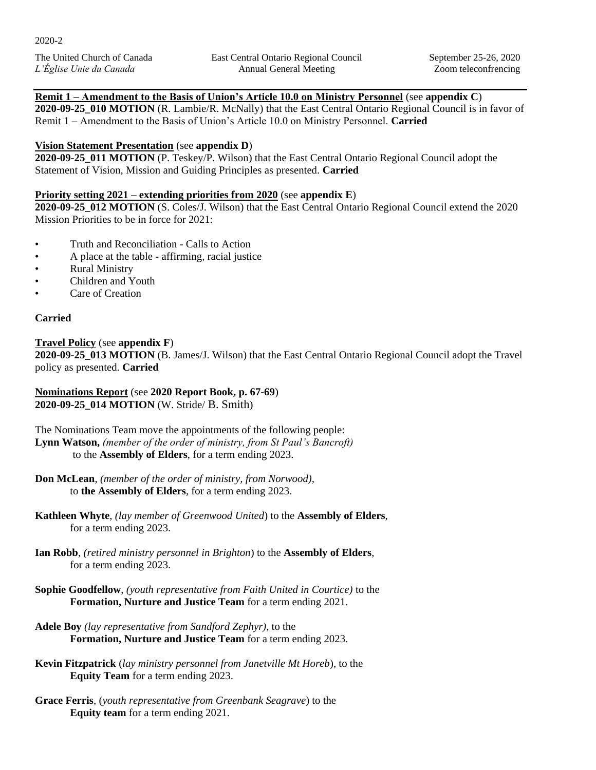# **Remit 1 – Amendment to the Basis of Union's Article 10.0 on Ministry Personnel** (see **appendix C**)

**2020-09-25\_010 MOTION** (R. Lambie/R. McNally) that the East Central Ontario Regional Council is in favor of Remit 1 – Amendment to the Basis of Union's Article 10.0 on Ministry Personnel. **Carried**

# **Vision Statement Presentation** (see **appendix D**)

**2020-09-25\_011 MOTION** (P. Teskey/P. Wilson) that the East Central Ontario Regional Council adopt the Statement of Vision, Mission and Guiding Principles as presented. **Carried**

# **Priority setting 2021 – extending priorities from 2020** (see **appendix E**)

**2020-09-25\_012 MOTION** (S. Coles/J. Wilson) that the East Central Ontario Regional Council extend the 2020 Mission Priorities to be in force for 2021:

- Truth and Reconciliation Calls to Action
- A place at the table affirming, racial justice
- Rural Ministry
- Children and Youth
- Care of Creation

# **Carried**

**Travel Policy** (see **appendix F**) **2020-09-25\_013 MOTION** (B. James/J. Wilson) that the East Central Ontario Regional Council adopt the Travel policy as presented. **Carried**

**Nominations Report** (see **2020 Report Book, p. 67-69**) **2020-09-25\_014 MOTION** (W. Stride/ B. Smith)

The Nominations Team move the appointments of the following people: **Lynn Watson,** *(member of the order of ministry, from St Paul's Bancroft)* to the **Assembly of Elders**, for a term ending 2023.

**Don McLean**, *(member of the order of ministry, from Norwood),*  to **the Assembly of Elders**, for a term ending 2023.

**Kathleen Whyte**, *(lay member of Greenwood United*) to the **Assembly of Elders**, for a term ending 2023.

- **Ian Robb**, *(retired ministry personnel in Brighton*) to the **Assembly of Elders**, for a term ending 2023.
- **Sophie Goodfellow**, *(youth representative from Faith United in Courtice)* to the **Formation, Nurture and Justice Team** for a term ending 2021.
- **Adele Boy** *(lay representative from Sandford Zephyr)*, to the **Formation, Nurture and Justice Team** for a term ending 2023.
- **Kevin Fitzpatrick** (*lay ministry personnel from Janetville Mt Horeb*), to the **Equity Team** for a term ending 2023.
- **Grace Ferris**, (*youth representative from Greenbank Seagrave*) to the **Equity team** for a term ending 2021.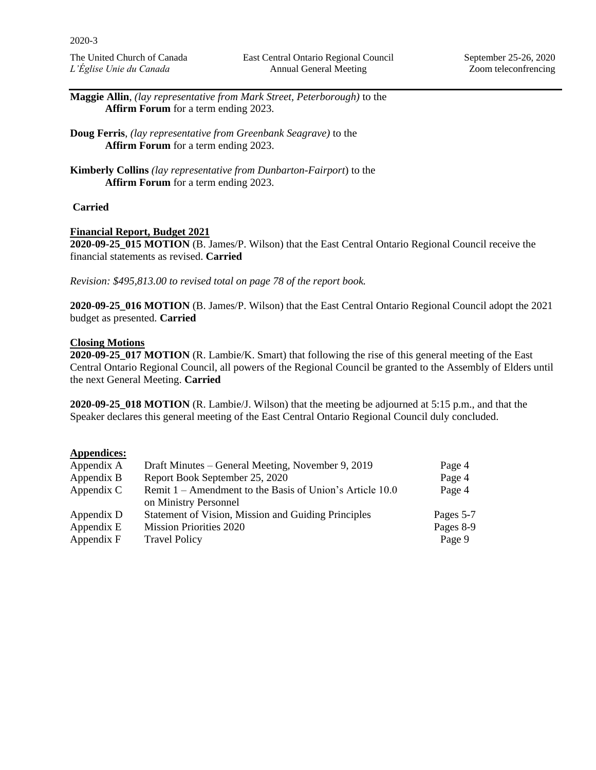**Maggie Allin**, *(lay representative from Mark Street, Peterborough)* to the **Affirm Forum** for a term ending 2023.

**Doug Ferris**, *(lay representative from Greenbank Seagrave)* to the **Affirm Forum** for a term ending 2023.

**Kimberly Collins** *(lay representative from Dunbarton-Fairport*) to the **Affirm Forum** for a term ending 2023.

## **Carried**

### **Financial Report, Budget 2021**

**2020-09-25\_015 MOTION** (B. James/P. Wilson) that the East Central Ontario Regional Council receive the financial statements as revised. **Carried** 

*Revision: \$495,813.00 to revised total on page 78 of the report book.* 

**2020-09-25\_016 MOTION** (B. James/P. Wilson) that the East Central Ontario Regional Council adopt the 2021 budget as presented. **Carried**

## **Closing Motions**

**2020-09-25\_017 MOTION** (R. Lambie/K. Smart) that following the rise of this general meeting of the East Central Ontario Regional Council, all powers of the Regional Council be granted to the Assembly of Elders until the next General Meeting. **Carried**

**2020-09-25\_018 MOTION** (R. Lambie/J. Wilson) that the meeting be adjourned at 5:15 p.m., and that the Speaker declares this general meeting of the East Central Ontario Regional Council duly concluded.

### **Appendices:**

| Appendix A | Draft Minutes – General Meeting, November 9, 2019          | Page 4    |
|------------|------------------------------------------------------------|-----------|
| Appendix B | Report Book September 25, 2020                             | Page 4    |
| Appendix C | Remit $1 -$ Amendment to the Basis of Union's Article 10.0 | Page 4    |
|            | on Ministry Personnel                                      |           |
| Appendix D | Statement of Vision, Mission and Guiding Principles        | Pages 5-7 |
| Appendix E | <b>Mission Priorities 2020</b>                             | Pages 8-9 |
| Appendix F | <b>Travel Policy</b>                                       | Page 9    |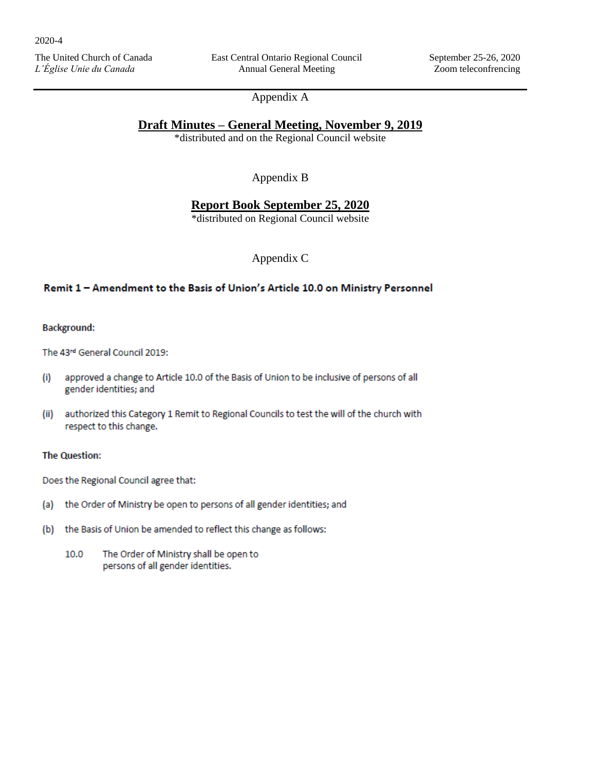East Central Ontario Regional Council Annual General Meeting

# Appendix A

# **Draft Minutes – General Meeting, November 9, 2019**

\*distributed and on the Regional Council website

Appendix B

# **Report Book September 25, 2020**

\*distributed on Regional Council website

Appendix C

## Remit 1 - Amendment to the Basis of Union's Article 10.0 on Ministry Personnel

#### **Background:**

The 43rd General Council 2019:

- approved a change to Article 10.0 of the Basis of Union to be inclusive of persons of all  $(i)$ gender identities; and
- (ii) authorized this Category 1 Remit to Regional Councils to test the will of the church with respect to this change.

### **The Question:**

Does the Regional Council agree that:

- (a) the Order of Ministry be open to persons of all gender identities; and
- the Basis of Union be amended to reflect this change as follows:  $(b)$ 
	- The Order of Ministry shall be open to 10.0 persons of all gender identities.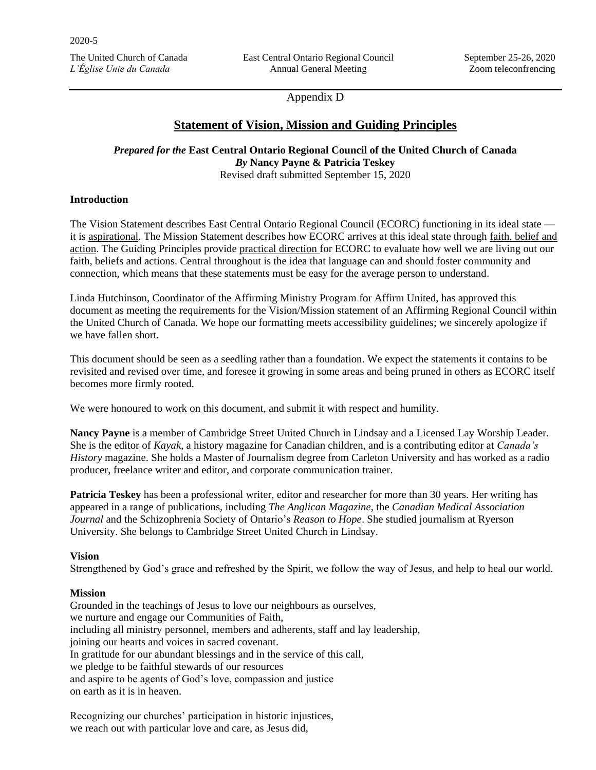Appendix D

# **Statement of Vision, Mission and Guiding Principles**

*Prepared for the* **East Central Ontario Regional Council of the United Church of Canada** *By* **Nancy Payne & Patricia Teskey**

Revised draft submitted September 15, 2020

## **Introduction**

The Vision Statement describes East Central Ontario Regional Council (ECORC) functioning in its ideal state it is aspirational. The Mission Statement describes how ECORC arrives at this ideal state through faith, belief and action. The Guiding Principles provide practical direction for ECORC to evaluate how well we are living out our faith, beliefs and actions. Central throughout is the idea that language can and should foster community and connection, which means that these statements must be easy for the average person to understand.

Linda Hutchinson, Coordinator of the Affirming Ministry Program for Affirm United, has approved this document as meeting the requirements for the Vision/Mission statement of an Affirming Regional Council within the United Church of Canada. We hope our formatting meets accessibility guidelines; we sincerely apologize if we have fallen short.

This document should be seen as a seedling rather than a foundation. We expect the statements it contains to be revisited and revised over time, and foresee it growing in some areas and being pruned in others as ECORC itself becomes more firmly rooted.

We were honoured to work on this document, and submit it with respect and humility.

**Nancy Payne** is a member of Cambridge Street United Church in Lindsay and a Licensed Lay Worship Leader. She is the editor of *Kayak*, a history magazine for Canadian children, and is a contributing editor at *Canada's History* magazine. She holds a Master of Journalism degree from Carleton University and has worked as a radio producer, freelance writer and editor, and corporate communication trainer.

**Patricia Teskey** has been a professional writer, editor and researcher for more than 30 years. Her writing has appeared in a range of publications, including *The Anglican Magazine,* the *Canadian Medical Association Journal* and the Schizophrenia Society of Ontario's *Reason to Hope*. She studied journalism at Ryerson University. She belongs to Cambridge Street United Church in Lindsay.

## **Vision**

Strengthened by God's grace and refreshed by the Spirit, we follow the way of Jesus, and help to heal our world.

## **Mission**

Grounded in the teachings of Jesus to love our neighbours as ourselves, we nurture and engage our Communities of Faith, including all ministry personnel, members and adherents, staff and lay leadership, joining our hearts and voices in sacred covenant. In gratitude for our abundant blessings and in the service of this call, we pledge to be faithful stewards of our resources and aspire to be agents of God's love, compassion and justice on earth as it is in heaven.

Recognizing our churches' participation in historic injustices, we reach out with particular love and care, as Jesus did,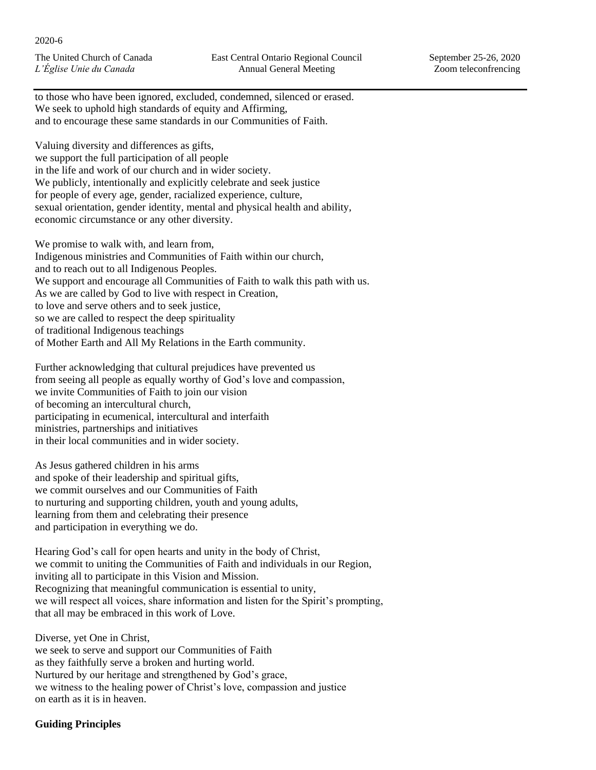to those who have been ignored, excluded, condemned, silenced or erased. We seek to uphold high standards of equity and Affirming, and to encourage these same standards in our Communities of Faith.

Valuing diversity and differences as gifts, we support the full participation of all people in the life and work of our church and in wider society. We publicly, intentionally and explicitly celebrate and seek justice for people of every age, gender, racialized experience, culture, sexual orientation, gender identity, mental and physical health and ability, economic circumstance or any other diversity.

We promise to walk with, and learn from, Indigenous ministries and Communities of Faith within our church, and to reach out to all Indigenous Peoples. We support and encourage all Communities of Faith to walk this path with us. As we are called by God to live with respect in Creation, to love and serve others and to seek justice, so we are called to respect the deep spirituality of traditional Indigenous teachings of Mother Earth and All My Relations in the Earth community.

Further acknowledging that cultural prejudices have prevented us from seeing all people as equally worthy of God's love and compassion, we invite Communities of Faith to join our vision of becoming an intercultural church, participating in ecumenical, intercultural and interfaith ministries, partnerships and initiatives in their local communities and in wider society.

As Jesus gathered children in his arms and spoke of their leadership and spiritual gifts, we commit ourselves and our Communities of Faith to nurturing and supporting children, youth and young adults, learning from them and celebrating their presence and participation in everything we do.

Hearing God's call for open hearts and unity in the body of Christ, we commit to uniting the Communities of Faith and individuals in our Region, inviting all to participate in this Vision and Mission. Recognizing that meaningful communication is essential to unity, we will respect all voices, share information and listen for the Spirit's prompting, that all may be embraced in this work of Love.

Diverse, yet One in Christ, we seek to serve and support our Communities of Faith as they faithfully serve a broken and hurting world. Nurtured by our heritage and strengthened by God's grace, we witness to the healing power of Christ's love, compassion and justice on earth as it is in heaven.

# **Guiding Principles**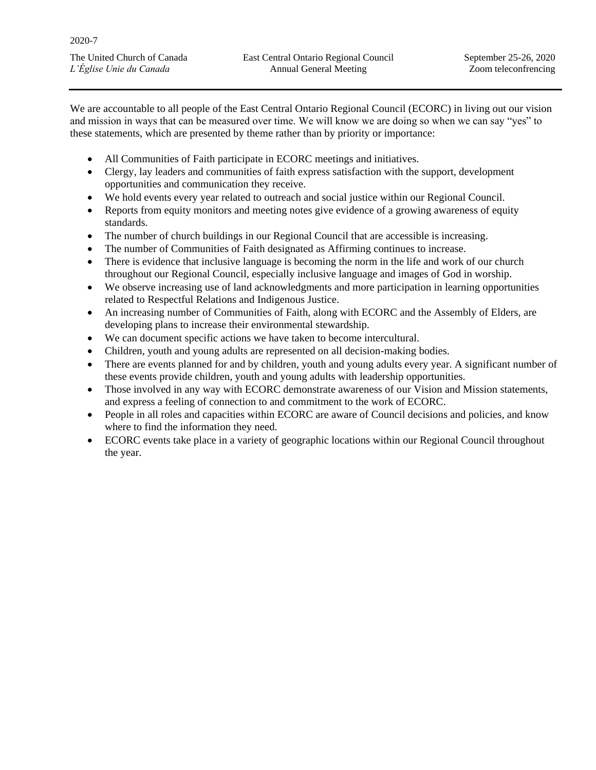2020-7

The United Church of Canada *L'Église Unie du Canada*

We are accountable to all people of the East Central Ontario Regional Council (ECORC) in living out our vision and mission in ways that can be measured over time. We will know we are doing so when we can say "yes" to these statements, which are presented by theme rather than by priority or importance:

- All Communities of Faith participate in ECORC meetings and initiatives.
- Clergy, lay leaders and communities of faith express satisfaction with the support, development opportunities and communication they receive.
- We hold events every year related to outreach and social justice within our Regional Council.
- Reports from equity monitors and meeting notes give evidence of a growing awareness of equity standards.
- The number of church buildings in our Regional Council that are accessible is increasing.
- The number of Communities of Faith designated as Affirming continues to increase.
- There is evidence that inclusive language is becoming the norm in the life and work of our church throughout our Regional Council, especially inclusive language and images of God in worship.
- We observe increasing use of land acknowledgments and more participation in learning opportunities related to Respectful Relations and Indigenous Justice.
- An increasing number of Communities of Faith, along with ECORC and the Assembly of Elders, are developing plans to increase their environmental stewardship.
- We can document specific actions we have taken to become intercultural.
- Children, youth and young adults are represented on all decision-making bodies.
- There are events planned for and by children, youth and young adults every year. A significant number of these events provide children, youth and young adults with leadership opportunities.
- Those involved in any way with ECORC demonstrate awareness of our Vision and Mission statements, and express a feeling of connection to and commitment to the work of ECORC.
- People in all roles and capacities within ECORC are aware of Council decisions and policies, and know where to find the information they need.
- ECORC events take place in a variety of geographic locations within our Regional Council throughout the year.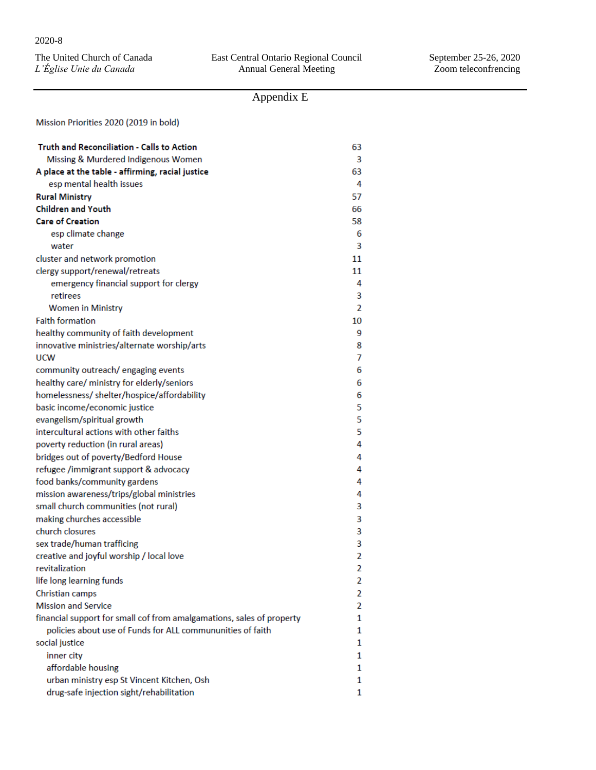|                         | The United Church of Canada |  |
|-------------------------|-----------------------------|--|
| L'Église Unie du Canada |                             |  |

# Appendix E

Mission Priorities 2020 (2019 in bold)

| Truth and Reconciliation - Calls to Action                            | 63             |
|-----------------------------------------------------------------------|----------------|
| Missing & Murdered Indigenous Women                                   | 3              |
| A place at the table - affirming, racial justice                      | 63             |
| esp mental health issues                                              | 4              |
| <b>Rural Ministry</b>                                                 | 57             |
| <b>Children and Youth</b>                                             | 66             |
| <b>Care of Creation</b>                                               | 58             |
| esp climate change                                                    | 6              |
| water                                                                 | 3              |
| cluster and network promotion                                         | 11             |
| clergy support/renewal/retreats                                       | 11             |
| emergency financial support for clergy                                | 4              |
| retirees                                                              | 3              |
| <b>Women in Ministry</b>                                              | $\overline{2}$ |
| <b>Faith formation</b>                                                | 10             |
| healthy community of faith development                                | 9              |
| innovative ministries/alternate worship/arts                          | 8              |
| <b>UCW</b>                                                            | 7              |
| community outreach/engaging events                                    | 6              |
| healthy care/ ministry for elderly/seniors                            | 6              |
| homelessness/shelter/hospice/affordability                            | 6              |
| basic income/economic justice                                         | 5              |
| evangelism/spiritual growth                                           | 5              |
| intercultural actions with other faiths                               | 5              |
| poverty reduction (in rural areas)                                    | 4              |
| bridges out of poverty/Bedford House                                  | 4              |
| refugee /immigrant support & advocacy                                 | 4              |
| food banks/community gardens                                          | 4              |
| mission awareness/trips/global ministries                             | 4              |
| small church communities (not rural)                                  | 3              |
| making churches accessible                                            | 3              |
| church closures                                                       | 3              |
| sex trade/human trafficing                                            | 3              |
| creative and joyful worship / local love                              | $\overline{2}$ |
| revitalization                                                        | 2              |
| life long learning funds                                              | 2              |
| Christian camps                                                       | 2              |
| <b>Mission and Service</b>                                            | 2              |
| financial support for small cof from amalgamations, sales of property | 1              |
| policies about use of Funds for ALL commununities of faith            | 1              |
| social justice                                                        | 1              |
| inner city                                                            | 1              |
| affordable housing                                                    | 1              |
| urban ministry esp St Vincent Kitchen, Osh                            | 1              |
| drug-safe injection sight/rehabilitation                              | 1              |